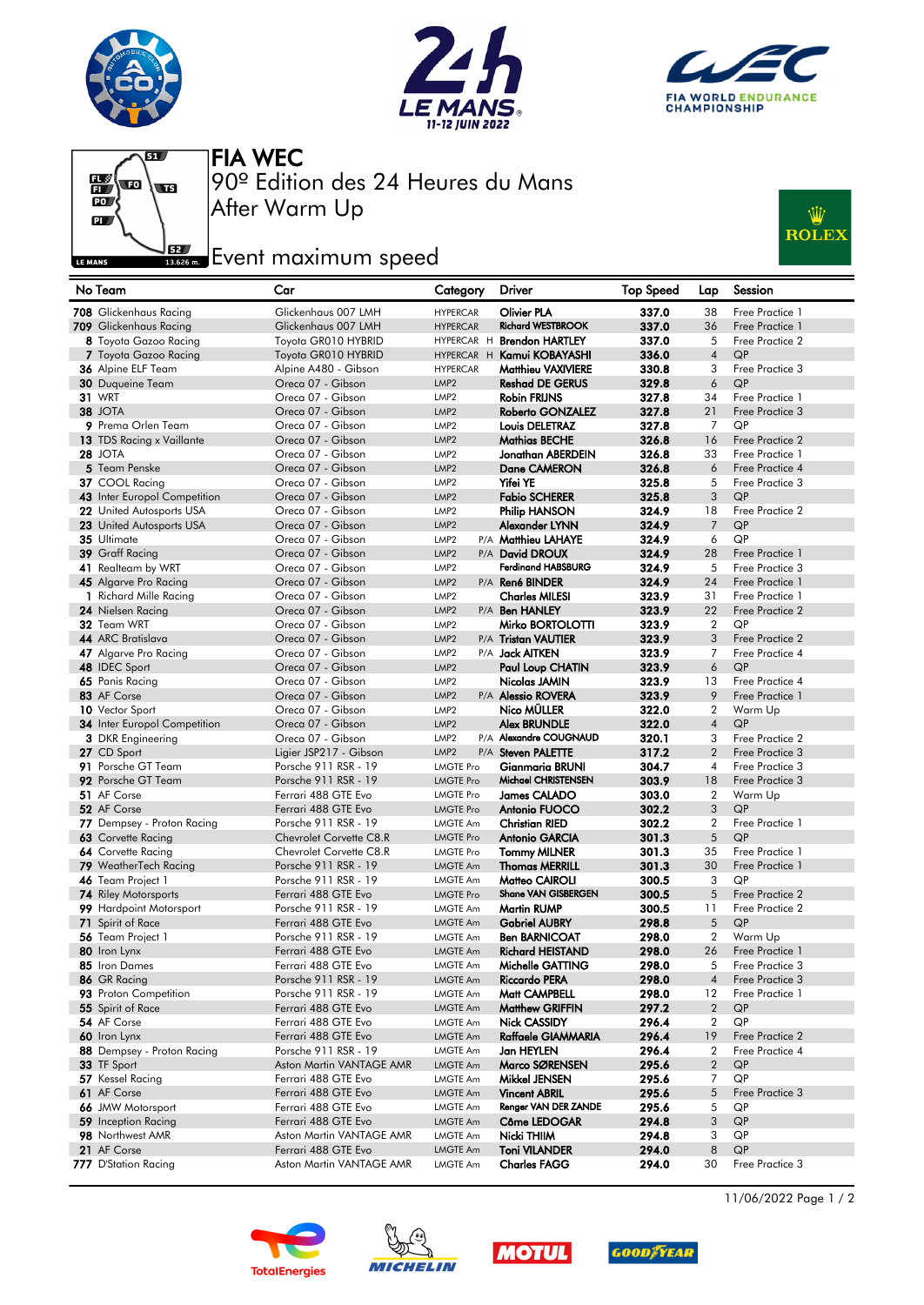







After Warm Up 90º Edition des 24 Heures du Mans FIA WEC

## **Example 2**<br>Issuem Event maximum speed



| No Team                                     | Car                                         | Category                             | Driver                                       | <b>Top Speed</b> | Lap              | Session                            |
|---------------------------------------------|---------------------------------------------|--------------------------------------|----------------------------------------------|------------------|------------------|------------------------------------|
| 708 Glickenhaus Racing                      | Glickenhaus 007 LMH                         | <b>HYPERCAR</b>                      | <b>Olivier PLA</b>                           | 337.0            | 38               | Free Practice 1                    |
| 709 Glickenhaus Racing                      | Glickenhaus 007 LMH                         | <b>HYPERCAR</b>                      | <b>Richard WESTBROOK</b>                     | 337.0            | 36               | Free Practice 1                    |
| 8 Toyota Gazoo Racing                       | Toyota GR010 HYBRID                         |                                      | HYPERCAR H Brendon HARTLEY                   | 337.0            | 5                | Free Practice 2                    |
| 7 Toyota Gazoo Racing                       | Toyota GR010 HYBRID                         |                                      | HYPERCAR H Kamui KOBAYASHI                   | 336.0            | $\overline{4}$   | QP                                 |
| 36 Alpine ELF Team                          | Alpine A480 - Gibson                        | <b>HYPERCAR</b>                      | Matthieu VAXIVIERE                           | 330.8            | 3                | Free Practice 3                    |
| <b>30</b> Duqueine Team                     | Oreca 07 - Gibson                           | LMP <sub>2</sub>                     | <b>Reshad DE GERUS</b>                       | 329.8            | 6                | QP                                 |
| <b>31 WRT</b>                               | Oreca 07 - Gibson                           | LMP <sub>2</sub>                     | <b>Robin FRIJNS</b>                          | 327.8            | 34               | Free Practice 1                    |
| <b>38 JOTA</b>                              | Oreca 07 - Gibson                           | LMP <sub>2</sub>                     | <b>Roberto GONZALEZ</b>                      | 327.8            | 21               | Free Practice 3                    |
| 9 Prema Orlen Team                          | Oreca 07 - Gibson                           | LMP <sub>2</sub>                     | Louis DELETRAZ                               | 327.8            | $\overline{7}$   | QP                                 |
| 13 TDS Racing x Vaillante                   | Oreca 07 - Gibson                           | LMP <sub>2</sub>                     | Mathias BECHE                                | 326.8            | 16               | Free Practice 2                    |
| <b>28 JOTA</b>                              | Oreca 07 - Gibson                           | LMP <sub>2</sub>                     | Jonathan ABERDEIN                            | 326.8            | 33               | Free Practice 1                    |
| 5 Team Penske                               | Oreca 07 - Gibson                           | LMP <sub>2</sub>                     | <b>Dane CAMERON</b>                          | 326.8            | 6                | Free Practice 4                    |
| 37 COOL Racing                              | Oreca 07 - Gibson                           | LMP <sub>2</sub>                     | <b>Yifei YE</b>                              | 325.8            | 5                | Free Practice 3                    |
| 43 Inter Europol Competition                | Oreca 07 - Gibson                           | LMP <sub>2</sub>                     | <b>Fabio SCHERER</b>                         | 325.8            | 3                | QP                                 |
| 22 United Autosports USA                    | Oreca 07 - Gibson                           | LMP <sub>2</sub>                     | Philip HANSON                                | 324.9            | 18               | Free Practice 2                    |
| 23 United Autosports USA                    | Oreca 07 - Gibson                           | LMP <sub>2</sub>                     | Alexander LYNN                               | 324.9            | 7                | QP                                 |
| 35 Ultimate                                 | Oreca 07 - Gibson                           | LMP <sub>2</sub>                     | P/A Matthieu LAHAYE                          | 324.9            | 6                | QP                                 |
| 39 Graff Racing                             | Oreca 07 - Gibson                           | LMP <sub>2</sub>                     | P/A David DROUX                              | 324.9            | 28               | Free Practice 1                    |
| 41 Realteam by WRT                          | Oreca 07 - Gibson                           | LMP <sub>2</sub>                     | <b>Ferdinand HABSBURG</b>                    | 324.9            | 5                | Free Practice 3                    |
| 45 Algarve Pro Racing                       | Oreca 07 - Gibson<br>Oreca 07 - Gibson      | LMP <sub>2</sub>                     | P/A René BINDER                              | 324.9            | 24<br>31         | Free Practice 1<br>Free Practice 1 |
| 1 Richard Mille Racing<br>24 Nielsen Racing | Oreca 07 - Gibson                           | LMP <sub>2</sub><br>LMP <sub>2</sub> | <b>Charles MILESI</b><br>P/A Ben HANLEY      | 323.9<br>323.9   | 22               | Free Practice 2                    |
| 32 Team WRT                                 | Oreca 07 - Gibson                           | LMP <sub>2</sub>                     | Mirko BORTOLOTTI                             | 323.9            | $\overline{2}$   | QP                                 |
| 44 ARC Bratislava                           | Oreca 07 - Gibson                           | LMP <sub>2</sub>                     | P/A Tristan VAUTIER                          | 323.9            | 3                | Free Practice 2                    |
| 47 Algarve Pro Racing                       | Oreca 07 - Gibson                           | LMP <sub>2</sub>                     | P/A <b>Jack AITKEN</b>                       | 323.9            | 7                | Free Practice 4                    |
| 48 IDEC Sport                               | Oreca 07 - Gibson                           | LMP <sub>2</sub>                     | Paul Loup CHATIN                             | 323.9            | 6                | QP                                 |
| 65 Panis Racing                             | Oreca 07 - Gibson                           | LMP <sub>2</sub>                     | Nicolas JAMIN                                | 323.9            | 13               | Free Practice 4                    |
| 83 AF Corse                                 | Oreca 07 - Gibson                           | LMP <sub>2</sub>                     | P/A Alessio ROVERA                           | 323.9            | 9                | Free Practice 1                    |
| 10 Vector Sport                             | Oreca 07 - Gibson                           | LMP <sub>2</sub>                     | Nico MÜLLER                                  | 322.0            | $\overline{2}$   | Warm Up                            |
| 34 Inter Europol Competition                | Oreca 07 - Gibson                           | LMP <sub>2</sub>                     | <b>Alex BRUNDLE</b>                          | 322.0            | $\overline{4}$   | QP                                 |
| <b>3</b> DKR Engineering                    | Oreca 07 - Gibson                           | LMP <sub>2</sub>                     | P/A Alexandre COUGNAUD                       | 320.1            | 3                | Free Practice 2                    |
| 27 CD Sport                                 | Ligier JSP217 - Gibson                      | LMP <sub>2</sub>                     | P/A Steven PALETTE                           | 317.2            | $\overline{2}$   | Free Practice 3                    |
| 91 Porsche GT Team                          | Porsche 911 RSR - 19                        | LMGTE Pro                            | Gianmaria BRUNI                              | 304.7            | 4                | Free Practice 3                    |
| 92 Porsche GT Team                          | Porsche 911 RSR - 19                        | <b>LMGTE Pro</b>                     | Michael CHRISTENSEN                          | 303.9            | 18               | Free Practice 3                    |
| 51 AF Corse                                 | Ferrari 488 GTE Evo                         | <b>LMGTE Pro</b>                     | <b>James CALADO</b>                          | 303.0            | $\overline{2}$   | Warm Up                            |
| 52 AF Corse                                 | Ferrari 488 GTE Evo                         | <b>LMGTE Pro</b>                     | Antonio FUOCO                                | 302.2            | 3                | QP                                 |
| 77 Dempsey - Proton Racing                  | Porsche 911 RSR - 19                        | <b>LMGTE Am</b>                      | <b>Christian RIED</b>                        | 302.2            | $\overline{2}$   | Free Practice 1                    |
| 63 Corvette Racing                          | Chevrolet Corvette C8.R                     | <b>LMGTE Pro</b>                     | <b>Antonio GARCIA</b>                        | 301.3            | 5                | QP                                 |
| 64 Corvette Racing                          | Chevrolet Corvette C8.R                     | <b>LMGTE Pro</b>                     | <b>Tommy MILNER</b>                          | 301.3            | 35               | Free Practice 1                    |
| 79 WeatherTech Racing                       | Porsche 911 RSR - 19                        | <b>LMGTE Am</b>                      | <b>Thomas MERRILL</b>                        | 301.3            | 30               | Free Practice 1                    |
| 46 Team Project 1                           | Porsche 911 RSR - 19                        | <b>LMGTE Am</b>                      | Matteo CAIROLI                               | 300.5            | 3                | QP                                 |
| <b>74</b> Riley Motorsports                 | Ferrari 488 GTE Evo                         | <b>LMGTE Pro</b>                     | Shane VAN GISBERGEN                          | 300.5            | 5                | Free Practice 2                    |
| 99 Hardpoint Motorsport                     | Porsche 911 RSR - 19                        | <b>LMGTE Am</b>                      | <b>Martin RUMP</b>                           | 300.5            | 11               | Free Practice 2                    |
| 71 Spirit of Race<br>56 Team Project 1      | Ferrari 488 GTE Evo<br>Porsche 911 RSR - 19 | <b>LMGTE Am</b>                      | <b>Gabriel AUBRY</b><br><b>Ben BARNICOAT</b> | 298.8<br>298.0   | 5<br>2           | QP<br>Warm Up                      |
|                                             | Ferrari 488 GTE Evo                         | <b>LMGTE Am</b>                      | <b>Richard HEISTAND</b>                      | 298.0            |                  |                                    |
| 80 Iron Lynx<br>85 Iron Dames               | Ferrari 488 GTE Evo                         | <b>LMGTE Am</b><br>LMGTE Am          | Michelle GATTING                             | 298.0            | 26<br>5          | Free Practice 1<br>Free Practice 3 |
| 86 GR Racing                                | Porsche 911 RSR - 19                        | <b>LMGTE Am</b>                      | Riccardo PERA                                | 298.0            | 4                | Free Practice 3                    |
| 93 Proton Competition                       | Porsche 911 RSR - 19                        | <b>LMGTE Am</b>                      | Matt CAMPBELL                                | 298.0            | 12               | Free Practice 1                    |
| 55 Spirit of Race                           | Ferrari 488 GTE Evo                         | <b>LMGTE Am</b>                      | <b>Matthew GRIFFIN</b>                       | 297.2            | $\boldsymbol{2}$ | QP                                 |
| 54 AF Corse                                 | Ferrari 488 GTE Evo                         | <b>LMGTE Am</b>                      | Nick CASSIDY                                 | 296.4            | $\overline{2}$   | QP                                 |
| 60 Iron Lynx                                | Ferrari 488 GTE Evo                         | LMGTE Am                             | Raffaele GIAMMARIA                           | 296.4            | 19               | Free Practice 2                    |
| 88 Dempsey - Proton Racing                  | Porsche 911 RSR - 19                        | <b>LMGTE Am</b>                      | Jan HEYLEN                                   | 296.4            | 2                | Free Practice 4                    |
| 33 TF Sport                                 | Aston Martin VANTAGE AMR                    | <b>LMGTE Am</b>                      | Marco SØRENSEN                               | 295.6            | $\overline{2}$   | QP                                 |
| 57 Kessel Racing                            | Ferrari 488 GTE Evo                         | <b>LMGTE Am</b>                      | Mikkel JENSEN                                | 295.6            | 7                | QP                                 |
| 61 AF Corse                                 | Ferrari 488 GTE Evo                         | <b>LMGTE Am</b>                      | <b>Vincent ABRIL</b>                         | 295.6            | 5                | Free Practice 3                    |
| 66 JMW Motorsport                           | Ferrari 488 GTE Evo                         | <b>LMGTE Am</b>                      | Renger VAN DER ZANDE                         | 295.6            | 5                | QP                                 |
| 59 Inception Racing                         | Ferrari 488 GTE Evo                         | <b>LMGTE Am</b>                      | Côme LEDOGAR                                 | 294.8            | 3                | QP                                 |
| 98 Northwest AMR                            | Aston Martin VANTAGE AMR                    | <b>LMGTE Am</b>                      | Nicki THIIM                                  | 294.8            | 3                | QP                                 |
| 21 AF Corse                                 | Ferrari 488 GTE Evo                         | <b>LMGTE Am</b>                      | <b>Toni VILANDER</b>                         | 294.0            | 8                | QP                                 |
| 777 D'Station Racing                        | Aston Martin VANTAGE AMR                    | <b>LMGTE Am</b>                      | <b>Charles FAGG</b>                          | 294.0            | 30               | Free Practice 3                    |









11/06/2022 Page 1 / 2